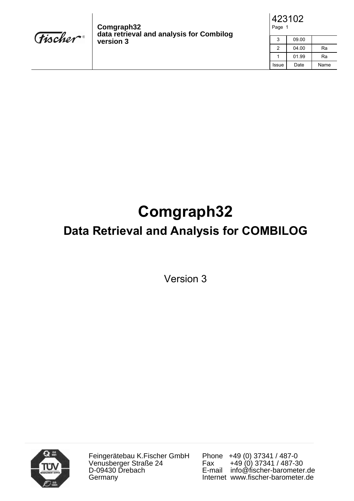

**Comgraph32 data retrieval and analysis for Combilog version 3**

| 423102 |  |
|--------|--|
| Page 1 |  |

| 3     | 09.00 |      |
|-------|-------|------|
| 2     | 04.00 | Ra   |
|       | 01.99 | Ra   |
| Issue | Date  | Name |

## **Comgraph32**

### **Data Retrieval and Analysis for COMBILOG**

Version 3



Feingerätebau K.Fischer GmbH Venusberger Straße 24 D-09430 Drebach Germany

Phone +49 (0) 37341 / 487-0<br>Fax +49 (0) 37341 / 487-3 Fax +49 (0) 37341 / 487-30 E-mail info@fischer-barometer.de Internet www.fischer-barometer.de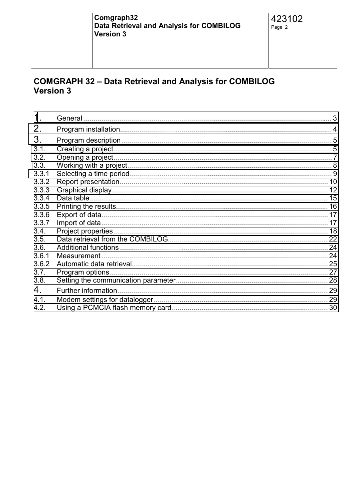# COMGRAPH 32 - Data Retrieval and Analysis for COMBILOG<br>Version 3

| $\mathbf 1$ . | 3 |
|---------------|---|
| 2.            |   |
| 3.            |   |
| 3.1.          |   |
| 3.2.          |   |
| 3.3.          |   |
| 3.3.1         |   |
| 3.3.2         |   |
| 3.3.3         |   |
| 3.3.4         |   |
| 3.3.5         |   |
| 3.3.6         |   |
| 3.3.7         |   |
| 3.4.          |   |
| 3.5.          |   |
| 3.6.          |   |
| 3.6.1         |   |
| 3.6.2         |   |
| 3.7.          |   |
| 3.8.          |   |
| 4.            |   |
| 4.1.          |   |
| 4.2.          |   |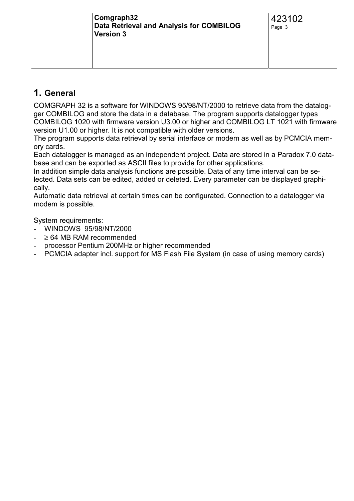#### <span id="page-2-0"></span>**1. General**

COMGRAPH 32 is a software for WINDOWS 95/98/NT/2000 to retrieve data from the datalogger COMBILOG and store the data in a database. The program supports datalogger types COMBILOG 1020 with firmware version U3.00 or higher and COMBILOG LT 1021 with firmware version U1.00 or higher. It is not compatible with older versions.

The program supports data retrieval by serial interface or modem as well as by PCMCIA memory cards.

Each datalogger is managed as an independent project. Data are stored in a Paradox 7.0 database and can be exported as ASCII files to provide for other applications.

In addition simple data analysis functions are possible. Data of any time interval can be selected. Data sets can be edited, added or deleted. Every parameter can be displayed graphically.

Automatic data retrieval at certain times can be configurated. Connection to a datalogger via modem is possible.

System requirements:

- WINDOWS 95/98/NT/2000
- $\geq 64$  MB RAM recommended
- processor Pentium 200MHz or higher recommended
- PCMCIA adapter incl. support for MS Flash File System (in case of using memory cards)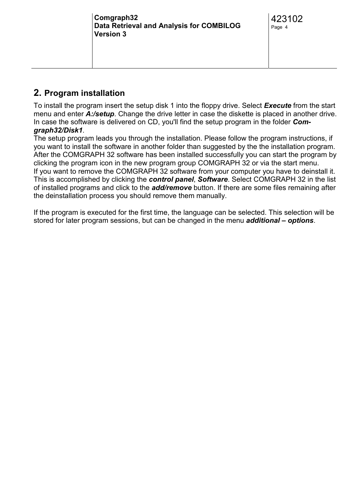#### <span id="page-3-0"></span>**2. Program installation**

To install the program insert the setup disk 1 into the floppy drive. Select *Execute* from the start menu and enter *A:/setup*. Change the drive letter in case the diskette is placed in another drive. In case the software is delivered on CD, you'll find the setup program in the folder *Comgraph32/Disk1*.

The setup program leads you through the installation. Please follow the program instructions, if you want to install the software in another folder than suggested by the the installation program. After the COMGRAPH 32 software has been installed successfully you can start the program by clicking the program icon in the new program group COMGRAPH 32 or via the start menu. If you want to remove the COMGRAPH 32 software from your computer you have to deinstall it. This is accomplished by clicking the *control panel*, *Software*. Select COMGRAPH 32 in the list of installed programs and click to the *add/remove* button. If there are some files remaining after the deinstallation process you should remove them manually.

If the program is executed for the first time, the language can be selected. This selection will be stored for later program sessions, but can be changed in the menu *additional – options*.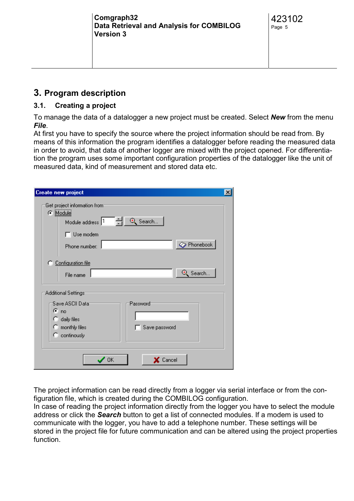#### <span id="page-4-0"></span>**3. Program description**

#### **3.1. Creating a project**

To manage the data of a datalogger a new project must be created. Select *New* from the menu *File*.

At first you have to specify the source where the project information should be read from. By means of this information the program identifies a datalogger before reading the measured data in order to avoid, that data of another logger are mixed with the project opened. For differentiation the program uses some important configuration properties of the datalogger like the unit of measured data, kind of measurement and stored data etc.

| <b>Create new project</b>                                                                                      | $\times$ |
|----------------------------------------------------------------------------------------------------------------|----------|
| Get project information from<br>@ Module<br>그러!<br><sup>4</sup> Search<br>Module address 1<br>$\Box$ Use modem |          |
| Phonebook<br>Phone number:                                                                                     |          |
| C Configuration file<br><b>D</b> Search<br>File name                                                           |          |
| Additional Settings                                                                                            |          |
| Save ASCII Data:<br>Password<br>$\sigma_{\text{no}}$                                                           |          |
| daily files<br>n                                                                                               |          |
| C monthly files<br>Save password                                                                               |          |
| C continously                                                                                                  |          |
| $\times$ Cancel<br><b>OK</b>                                                                                   |          |

The project information can be read directly from a logger via serial interface or from the configuration file, which is created during the COMBILOG configuration.

In case of reading the project information directly from the logger you have to select the module address or click the *Search* button to get a list of connected modules. If a modem is used to communicate with the logger, you have to add a telephone number. These settings will be stored in the project file for future communication and can be altered using the project properties function.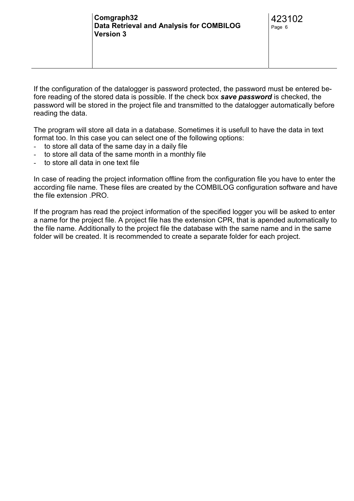If the configuration of the datalogger is password protected, the password must be entered before reading of the stored data is possible. If the check box *save password* is checked, the password will be stored in the project file and transmitted to the datalogger automatically before reading the data.

The program will store all data in a database. Sometimes it is usefull to have the data in text format too. In this case you can select one of the following options:

- to store all data of the same day in a daily file
- to store all data of the same month in a monthly file
- to store all data in one text file

In case of reading the project information offline from the configuration file you have to enter the according file name. These files are created by the COMBILOG configuration software and have the file extension .PRO.

If the program has read the project information of the specified logger you will be asked to enter a name for the project file. A project file has the extension CPR, that is apended automatically to the file name. Additionally to the project file the database with the same name and in the same folder will be created. It is recommended to create a separate folder for each project.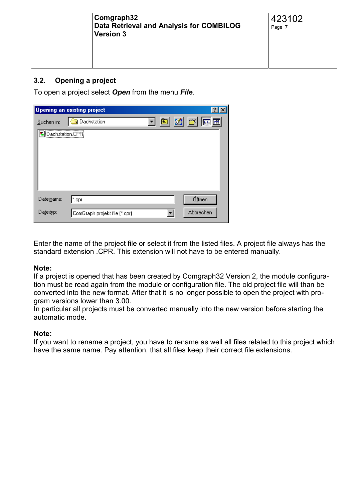#### <span id="page-6-0"></span>**3.2. Opening a project**

To open a project select *Open* from the menu *File*.

|                          | Opening an existing project   |  |               |
|--------------------------|-------------------------------|--|---------------|
| Suchen in:               | Dachstation                   |  | <u>ten de</u> |
| <b>E</b> Dachstation.CPR |                               |  |               |
| Dateiname:               | ".cpr                         |  | Öffnen        |
| Dateityp:                | ComGraph projekt file (*.cpr) |  | Abbrechen     |

Enter the name of the project file or select it from the listed files. A project file always has the standard extension .CPR. This extension will not have to be entered manually.

#### **Note:**

If a project is opened that has been created by Comgraph32 Version 2, the module configuration must be read again from the module or configuration file. The old project file will than be converted into the new format. After that it is no longer possible to open the project with program versions lower than 3.00.

In particular all projects must be converted manually into the new version before starting the automatic mode.

#### **Note:**

If you want to rename a project, you have to rename as well all files related to this project which have the same name. Pay attention, that all files keep their correct file extensions.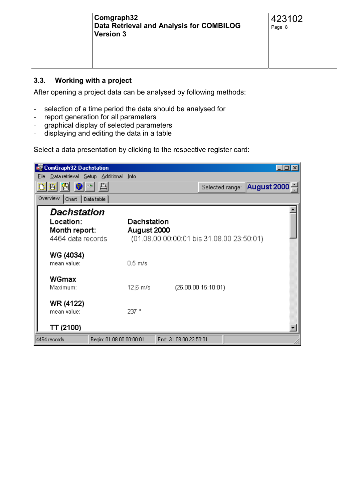<span id="page-7-0"></span>

| Comgraph32<br>Data Retrieval and Analysis for COMBILOG<br><b>Version 3</b> | 423102<br>Page 8 |
|----------------------------------------------------------------------------|------------------|
|                                                                            |                  |

#### **3.3. Working with a project**

After opening a project data can be analysed by following methods:

- selection of a time period the data should be analysed for
- report generation for all parameters
- graphical display of selected parameters
- displaying and editing the data in a table

Select a data presentation by clicking to the respective register card:

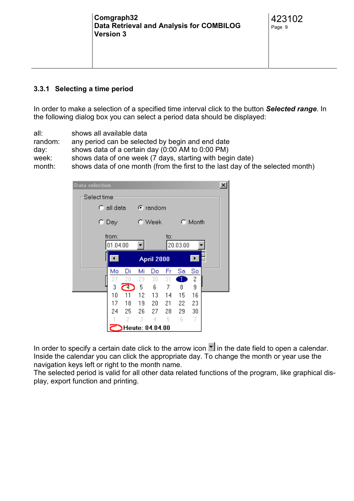#### <span id="page-8-0"></span>**3.3.1 Selecting a time period**

In order to make a selection of a specified time interval click to the button *Selected range*. In the following dialog box you can select a period data should be displayed:

all: shows all available data random: any period can be selected by begin and end date day: shows data of a certain day (0:00 AM to 0:00 PM) week: shows data of one week (7 days, starting with begin date) month: shows data of one month (from the first to the last day of the selected month)

|                          | <b>Data selection</b> |                                                             |      |      |                           |     |          |    |  | $\boldsymbol{\mathsf{x}}$ |
|--------------------------|-----------------------|-------------------------------------------------------------|------|------|---------------------------|-----|----------|----|--|---------------------------|
| Select time <sup>.</sup> |                       |                                                             |      |      |                           |     |          |    |  |                           |
|                          |                       | $\degree$ all data                                          |      |      | $\epsilon$ random         |     |          |    |  |                           |
|                          |                       | C Day                                                       |      |      | C Week<br>$\subset$ Month |     |          |    |  |                           |
|                          |                       | from:<br>01.04.00                                           |      |      |                           | to: | 20.03.00 |    |  |                           |
|                          |                       | $\blacktriangleleft$<br>$\blacktriangleright$<br>April 2000 |      |      |                           |     |          |    |  |                           |
|                          |                       | Mo                                                          | Di   | Mi   | Do                        | Fr  | Sa       | So |  |                           |
|                          |                       | 27                                                          | 28   | 29.  | 30.                       | 31  |          | 2  |  |                           |
|                          |                       | 3                                                           | م    | 5    | -6                        | 7   | 8        | 9  |  |                           |
|                          |                       | 10                                                          | 11   | 12.  | 13.                       | 14  | 15       | 16 |  |                           |
|                          |                       | 17                                                          | 18   | 19 - | 20                        | 21  | 22       | 23 |  |                           |
|                          |                       | 24                                                          | 25 - | 26.  | 27.                       | 28  | 29       | 30 |  |                           |
|                          |                       |                                                             | 2    | 3    | 4                         | 5   | 6        | 7  |  |                           |
|                          |                       |                                                             |      |      | Heute: 04.04.00           |     |          |    |  |                           |

In order to specify a certain date click to the arrow icon  $\blacksquare$  in the date field to open a calendar. Inside the calendar you can click the appropriate day. To change the month or year use the navigation keys left or right to the month name.

The selected period is valid for all other data related functions of the program, like graphical display, export function and printing.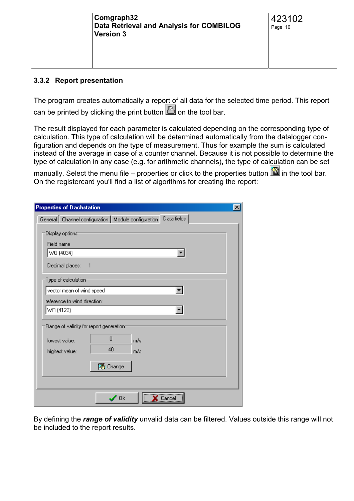<span id="page-9-0"></span>

| Comgraph32<br>Data Retrieval and Analysis for COMBILOG<br><b>Version 3</b> | 423102<br>Page 10 |
|----------------------------------------------------------------------------|-------------------|
|                                                                            |                   |

#### **3.3.2 Report presentation**

The program creates automatically a report of all data for the selected time period. This report can be printed by clicking the print button  $\Box$  on the tool bar.

The result displayed for each parameter is calculated depending on the corresponding type of calculation. This type of calculation will be determined automatically from the datalogger configuration and depends on the type of measurement. Thus for example the sum is calculated instead of the average in case of a counter channel. Because it is not possible to determine the type of calculation in any case (e.g. for arithmetic channels), the type of calculation can be set

manually. Select the menu file – properties or click to the properties button  $\blacksquare$  in the tool bar. On the registercard you'll find a list of algorithms for creating the report:

| <b>Properties of Dachstation</b><br>×                                                                                     |
|---------------------------------------------------------------------------------------------------------------------------|
| Data fields<br>General   Channel configuration   Module configuration                                                     |
| Display options:<br>Field name<br>WG (4034)<br>Decimal places:<br>- 1<br>Type of calculation<br>vector mean of wind speed |
| reference to wind direction:                                                                                              |
| WR (4122)                                                                                                                 |
| Range of validity for report generation:                                                                                  |
| 0<br>lowest value:<br>m/s                                                                                                 |
| 40<br>highest value:<br>m/s                                                                                               |
| (著 Change                                                                                                                 |
|                                                                                                                           |
| ∕ Ok                                                                                                                      |

By defining the *range of validity* unvalid data can be filtered. Values outside this range will not be included to the report results.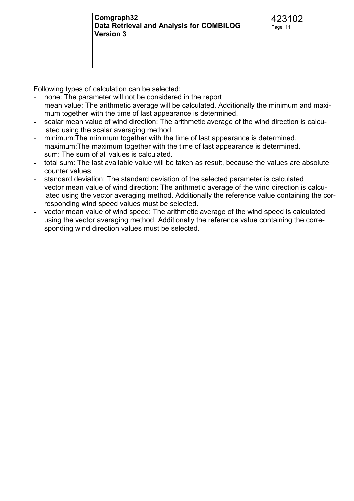Following types of calculation can be selected:

- none: The parameter will not be considered in the report
- mean value: The arithmetic average will be calculated. Additionally the minimum and maximum together with the time of last appearance is determined.
- scalar mean value of wind direction: The arithmetic average of the wind direction is calculated using the scalar averaging method.
- minimum:The minimum together with the time of last appearance is determined.
- maximum: The maximum together with the time of last appearance is determined.
- sum: The sum of all values is calculated.
- total sum: The last available value will be taken as result, because the values are absolute counter values.
- standard deviation: The standard deviation of the selected parameter is calculated
- vector mean value of wind direction: The arithmetic average of the wind direction is calculated using the vector averaging method. Additionally the reference value containing the corresponding wind speed values must be selected.
- vector mean value of wind speed: The arithmetic average of the wind speed is calculated using the vector averaging method. Additionally the reference value containing the corresponding wind direction values must be selected.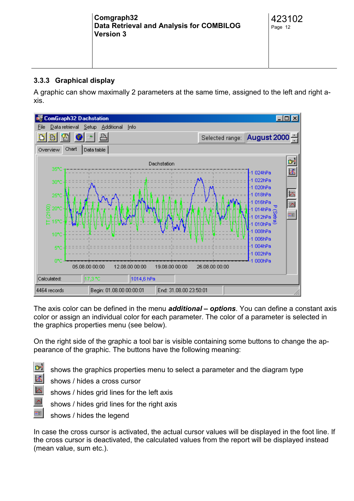#### <span id="page-11-0"></span>**3.3.3 Graphical display**

A graphic can show maximally 2 parameters at the same time, assigned to the left and right axis.



The axis color can be defined in the menu *additional – options*. You can define a constant axis color or assign an individual color for each parameter. The color of a parameter is selected in the graphics properties menu (see below).

On the right side of the graphic a tool bar is visible containing some buttons to change the appearance of the graphic. The buttons have the following meaning:

shows the graphics properties menu to select a parameter and the diagram type

shows / hides a cross cursor



shows / hides grid lines for the right axis

shows / hides the legend

In case the cross cursor is activated, the actual cursor values will be displayed in the foot line. If the cross cursor is deactivated, the calculated values from the report will be displayed instead (mean value, sum etc.).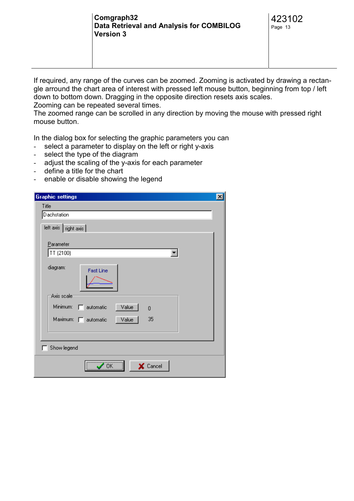If required, any range of the curves can be zoomed. Zooming is activated by drawing a rectangle arround the chart area of interest with pressed left mouse button, beginning from top / left down to bottom down. Dragging in the opposite direction resets axis scales. Zooming can be repeated several times.

The zoomed range can be scrolled in any direction by moving the mouse with pressed right mouse button.

In the dialog box for selecting the graphic parameters you can

- select a parameter to display on the left or right y-axis
- select the type of the diagram
- adjust the scaling of the y-axis for each parameter
- define a title for the chart
- enable or disable showing the legend

| <b>Graphic settings</b>                                 | $\boldsymbol{\mathsf{x}}$ |
|---------------------------------------------------------|---------------------------|
| Title                                                   |                           |
| Dachstation                                             |                           |
| left axis   right axis                                  |                           |
|                                                         |                           |
| Parameter                                               |                           |
| TT (2100)                                               |                           |
| diagram:                                                |                           |
| <b>Fast Line</b>                                        |                           |
|                                                         |                           |
| Axis scale                                              |                           |
|                                                         |                           |
| Minimum:<br>Value<br>$\Box$ automatic<br>$\overline{0}$ |                           |
| Maximum: F automatic<br>35<br>Value                     |                           |
|                                                         |                           |
|                                                         |                           |
| Show legend                                             |                           |
|                                                         |                           |
| X Cancel<br>OK                                          |                           |
|                                                         |                           |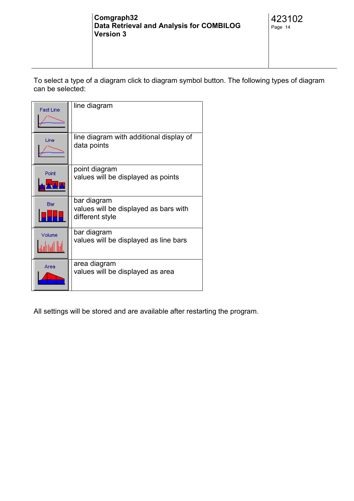To select a type of a diagram click to diagram symbol button. The following types of diagram can be selected:

| <b>Fast Line</b> | line diagram                                                            |
|------------------|-------------------------------------------------------------------------|
| Line             | line diagram with additional display of<br>data points                  |
| Point            | point diagram<br>values will be displayed as points                     |
| Bar              | bar diagram<br>values will be displayed as bars with<br>different style |
| Volume           | bar diagram<br>values will be displayed as line bars                    |
| Area             | area diagram<br>values will be displayed as area                        |

All settings will be stored and are available after restarting the program.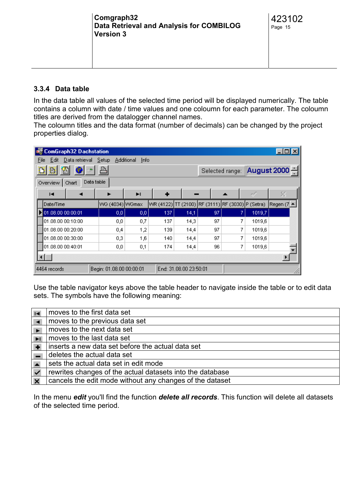<span id="page-14-0"></span>

| Comgraph32<br>Data Retrieval and Analysis for COMBILOG<br><b>Version 3</b> | 423102<br>Page 15 |  |
|----------------------------------------------------------------------------|-------------------|--|
|----------------------------------------------------------------------------|-------------------|--|

#### **3.3.4 Data table**

In the data table all values of the selected time period will be displayed numerically. The table contains a column with date / time values and one coloumn for each parameter. The coloumn titles are derived from the datalogger channel names.

The coloumn titles and the data format (number of decimals) can be changed by the project properties dialog.

| <b>ComGraph32 Dachstation</b><br>$\Box$ olx                        |                                      |          |           |      |                                         |   |        |            |
|--------------------------------------------------------------------|--------------------------------------|----------|-----------|------|-----------------------------------------|---|--------|------------|
| Data retrieval Setup<br>Additional<br>Edit<br>File<br>Info         |                                      |          |           |      |                                         |   |        |            |
| l Ol<br>图<br>D B                                                   | a.<br>August 2000<br>Selected range: |          |           |      |                                         |   |        |            |
| Overview  <br>Chart                                                | Data table                           |          |           |      |                                         |   |        |            |
| Í<br>ы<br>н<br>►<br>-                                              |                                      |          |           |      |                                         |   |        | ×          |
| Date/Time                                                          | WG (4034) WGmax                      |          | WR (4122) |      | TT (2100) RF (3111) RF (3030) P (Setra) |   |        | Regen (7 ▲ |
| 01.08.00 00:00:01                                                  | 0,0                                  | $_{0,0}$ | 137       | 14,1 | 97                                      | 7 | 1019,7 |            |
| 01.08.00 00:10:00                                                  | 0,0                                  | 0,7      | 137       | 14,3 | 97                                      | 7 | 1019,6 |            |
| 01.08.00 00:20:00                                                  | 0,4                                  | 1,2      | 139       | 14,4 | 97                                      | 7 | 1019,6 |            |
| 01.08.00 00:30:00                                                  | 0,3                                  | 1,6      | 140       | 14,4 | 97                                      | 7 | 1019,6 |            |
| 01.08.00 00:40:01                                                  | 0,0                                  | 0,1      | 174       | 14,4 | 96                                      | 7 | 1019,6 |            |
|                                                                    |                                      |          |           |      |                                         |   |        |            |
| End: 31.08.00 23:50:01<br>Begin: 01.08.00 00:00:01<br>4464 records |                                      |          |           |      |                                         |   |        |            |

Use the table navigator keys above the table header to navigate inside the table or to edit data sets. The symbols have the following meaning:

| $\blacksquare$ | moves to the first data set                               |
|----------------|-----------------------------------------------------------|
|                | moves to the previous data set                            |
|                | moves to the next data set                                |
|                | moves to the last data set                                |
|                | inserts a new data set before the actual data set         |
|                | deletes the actual data set                               |
|                | sets the actual data set in edit mode                     |
| $\checkmark$   | rewrites changes of the actual datasets into the database |
|                | cancels the edit mode without any changes of the dataset  |

In the menu *edit* you'll find the function *delete all records*. This function will delete all datasets of the selected time period.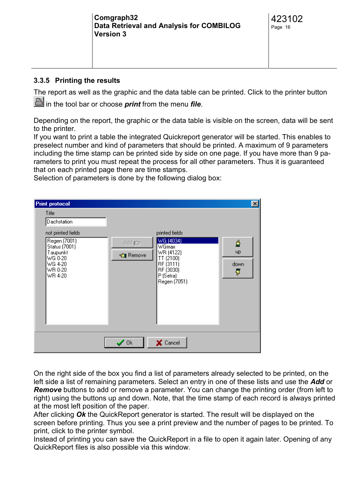| Comgraph32<br>Data Retrieval and Analysis for COMBILOG |  |
|--------------------------------------------------------|--|
| <b>Version 3</b>                                       |  |
|                                                        |  |

#### <span id="page-15-0"></span>**3.3.5 Printing the results**

The report as well as the graphic and the data table can be printed. Click to the printer button

in the tool bar or choose *print* from the menu *file*.

Depending on the report, the graphic or the data table is visible on the screen, data will be sent to the printer.

If you want to print a table the integrated Quickreport generator will be started. This enables to preselect number and kind of parameters that should be printed. A maximum of 9 parameters including the time stamp can be printed side by side on one page. If you have more than 9 parameters to print you must repeat the process for all other parameters. Thus it is guaranteed that on each printed page there are time stamps.

Selection of parameters is done by the following dialog box:

| <b>Print protocol</b>                                                                   |                                                                                                                   | $\vert x \vert$ |
|-----------------------------------------------------------------------------------------|-------------------------------------------------------------------------------------------------------------------|-----------------|
| Title<br>Dachstation<br>not printed fields<br>Regen (7001)<br>Status (7001)<br>Taupunkt | printed fields<br>WG (4034)<br>Add <b>J</b> GP<br>₫<br><b>WGmax</b><br>WR (4122)<br><b>up</b><br><b>€∏</b> Remove |                 |
| WG 0-20<br>WG 4-20<br>WR 0-20<br>WR 4-20                                                | TT (2100)<br>RF (3111)<br>down<br>RF (3030)<br>₹<br>P (Setra)<br>Regen (7051)                                     |                 |
|                                                                                         | X Cancel<br>$\prime$ Ok                                                                                           |                 |

On the right side of the box you find a list of parameters already selected to be printed, on the left side a list of remaining parameters. Select an entry in one of these lists and use the *Add* or *Remove* buttons to add or remove a parameter. You can change the printing order (from left to right) using the buttons up and down. Note, that the time stamp of each record is always printed at the most left position of the paper.

After clicking *Ok* the QuickReport generator is started. The result will be displayed on the screen before printing. Thus you see a print preview and the number of pages to be printed. To print, click to the printer symbol.

Instead of printing you can save the QuickReport in a file to open it again later. Opening of any QuickReport files is also possible via this window.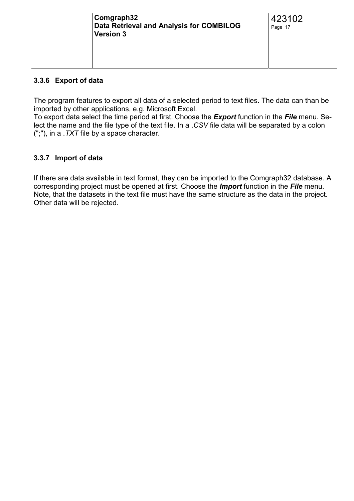#### <span id="page-16-0"></span>**3.3.6 Export of data**

The program features to export all data of a selected period to text files. The data can than be imported by other applications, e.g. Microsoft Excel.

To export data select the time period at first. Choose the *Export* function in the *File* menu. Select the name and the file type of the text file. In a .*CSV* file data will be separated by a colon (";"), in a .*TXT* file by a space character.

#### **3.3.7 Import of data**

If there are data available in text format, they can be imported to the Comgraph32 database. A corresponding project must be opened at first. Choose the *Import* function in the *File* menu. Note, that the datasets in the text file must have the same structure as the data in the project. Other data will be rejected.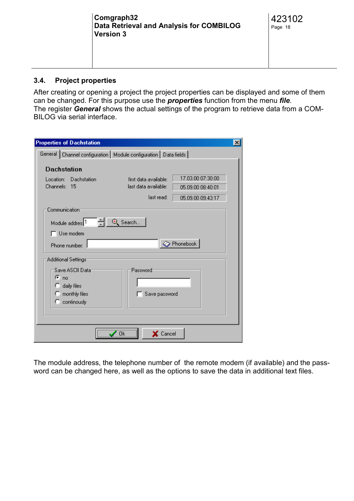<span id="page-17-0"></span>

| Comgraph32<br>Data Retrieval and Analysis for COMBILOG<br><b>Version 3</b> | 423102<br>Page 18 |
|----------------------------------------------------------------------------|-------------------|
|                                                                            |                   |

#### **3.4. Project properties**

After creating or opening a project the project properties can be displayed and some of them can be changed. For this purpose use the *properties* function from the menu *file*. The register *General* shows the actual settings of the program to retrieve data from a COM-BILOG via serial interface.

| <b>Properties of Dachstation</b>                                     |                       | $\vert x \vert$   |  |  |  |  |  |
|----------------------------------------------------------------------|-----------------------|-------------------|--|--|--|--|--|
| General   Channel configuration   Module configuration   Data fields |                       |                   |  |  |  |  |  |
| <b>Dachstation</b>                                                   |                       |                   |  |  |  |  |  |
| Location: Dachstation                                                | first data available: | 17.03.00 07:30:00 |  |  |  |  |  |
| Channels: 15                                                         | last data available:  | 05.09.00 08:40:01 |  |  |  |  |  |
|                                                                      | last read:            | 05.09.00 09:43:17 |  |  |  |  |  |
| Communication                                                        |                       |                   |  |  |  |  |  |
| Module addres: 1                                                     | $\Theta$ Search       |                   |  |  |  |  |  |
| $\Box$ Use modem                                                     |                       |                   |  |  |  |  |  |
| Phone number                                                         |                       | Rhonebook         |  |  |  |  |  |
| Additional Settings <sup></sup>                                      |                       |                   |  |  |  |  |  |
| Save ASCII Data:                                                     | Password              |                   |  |  |  |  |  |
| $\sigma$ no                                                          |                       |                   |  |  |  |  |  |
| $\bigcirc$ daily files                                               |                       |                   |  |  |  |  |  |
| $\mathbb{C}$ monthly files<br>$\degree$ continously                  | Save password         |                   |  |  |  |  |  |
|                                                                      |                       |                   |  |  |  |  |  |
|                                                                      |                       |                   |  |  |  |  |  |
|                                                                      | X Cancel              |                   |  |  |  |  |  |
|                                                                      |                       |                   |  |  |  |  |  |

The module address, the telephone number of the remote modem (if available) and the password can be changed here, as well as the options to save the data in additional text files.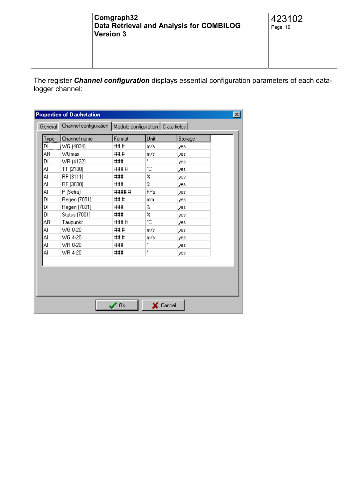The register *Channel configuration* displays essential configuration parameters of each datalogger channel:

|            | Channel name  | Format | Unit                      | Storage |  |
|------------|---------------|--------|---------------------------|---------|--|
| Type<br>IЫ | WG (4034)     | ##.#   | m/s                       | yes     |  |
| AR         | WGmax         | ##.#   | m/s                       | yes     |  |
| DI         | WR (4122)     | ###    | ۰                         | yes     |  |
| Al         | TT (2100)     | ####   | ۴C                        | yes     |  |
| Al         | RF (3111)     | ###    | %                         | yes     |  |
| Al         | RF (3030)     | ###    | %                         | yes     |  |
| Al         | P (Setra)     | ####.# | hPa                       | yes     |  |
| DI         | Regen (7051)  | ###    | mm                        | yes     |  |
| DI         | Regen (7001)  | ###    | z                         | yes     |  |
| DI         | Status (7001) | ###    | $\boldsymbol{\mathsf{z}}$ | yes     |  |
| AΒ         | Taupunkt      | ###    | ۴C                        | yes     |  |
| Al         | WG 0-20       | ##.#   | m/s                       | yes     |  |
| Al         | WG 4-20       | ##.#   | m/s                       | yes     |  |
| Al         | WR 0-20       | ###    | ۰                         | yes     |  |
| Al         | WR 4-20       | ###    | ۰                         | yes     |  |
|            |               |        |                           |         |  |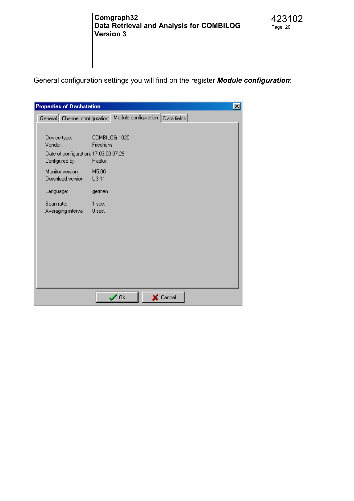General configuration settings you will find on the register *Module configuration*:

| <b>Properties of Dachstation</b>      | $\vert x \vert$                    |  |
|---------------------------------------|------------------------------------|--|
| General Channel configuration         | Module configuration   Data fields |  |
|                                       |                                    |  |
| Device type:<br>Vendor:               | COMBILOG 1020<br>Friedrichs        |  |
| Date of configuration: 17.03.00 07:29 |                                    |  |
| Configured by:                        | Radke                              |  |
| Monitor version:                      | M5.00                              |  |
| Download version:                     | U3.11                              |  |
| Language:                             | german                             |  |
| Scan rate:                            | 1 sec.                             |  |
| Averaging interval:                   | $0$ sec.                           |  |
|                                       |                                    |  |
|                                       |                                    |  |
|                                       |                                    |  |
|                                       |                                    |  |
|                                       |                                    |  |
|                                       |                                    |  |
|                                       |                                    |  |
|                                       | $\prime$ Ok<br>$\times$ Cancel     |  |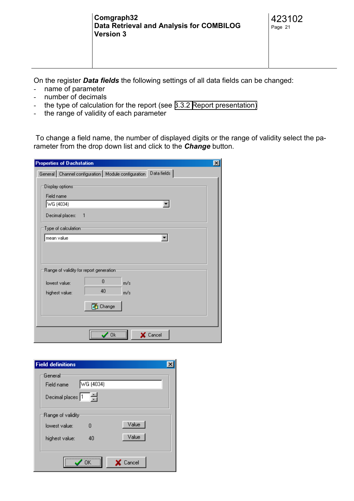On the register *Data fields* the following settings of all data fields can be changed:

- name of parameter
- number of decimals
- the type of calculation for the report (see [3.3.2 Report presentation\)](#page-9-0)
- the range of validity of each parameter

 To change a field name, the number of displayed digits or the range of validity select the parameter from the drop down list and click to the *Change* button.

| <b>Properties of Dachstation</b>                                   |
|--------------------------------------------------------------------|
| General Channel configuration   Module configuration   Data fields |
| Display options<br>Field name<br>WG (4034)                         |
| Decimal places:<br>1                                               |
| Type of calculation<br>mean value                                  |
|                                                                    |
| Range of validity for report generation                            |
| $\overline{0}$<br>lowest value:<br>m/s                             |
| 40<br>highest value:<br>m/s                                        |
| ▓ Change                                                           |
|                                                                    |
| X Cancel<br>Πk                                                     |

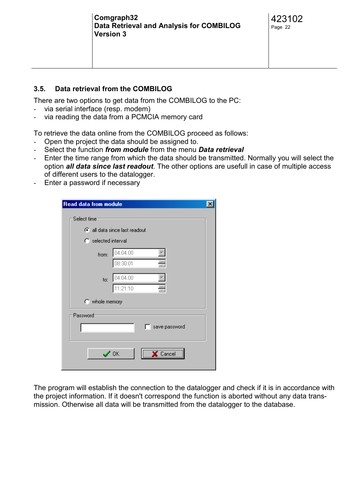#### <span id="page-21-0"></span>**3.5. Data retrieval from the COMBILOG**

There are two options to get data from the COMBILOG to the PC:

- via serial interface (resp. modem)
- via reading the data from a PCMCIA memory card

To retrieve the data online from the COMBILOG proceed as follows:

- Open the project the data should be assigned to.
- Select the function *from module* from the menu *Data retrieval*
- Enter the time range from which the data should be transmitted. Normally you will select the option *all data since last readout*. The other options are usefull in case of multiple access of different users to the datalogger.
- Enter a password if necessary

| Read data from module    |                             |  |
|--------------------------|-----------------------------|--|
| Select time <sup>-</sup> |                             |  |
|                          | all data since last readout |  |
| C selected interval      |                             |  |
| from:                    | 04.04.00                    |  |
|                          | 싂<br>08:30:01               |  |
| to:                      | 04.04.00                    |  |
|                          | $\frac{1}{\tau}$<br>1:21:10 |  |
| $\bigcirc$ whole memory  |                             |  |
| Password                 |                             |  |
|                          | save password               |  |
|                          |                             |  |
|                          | $\prime$ ok<br>Cancel       |  |
|                          |                             |  |

The program will establish the connection to the datalogger and check if it is in accordance with the project information. If it doesn't correspond the function is aborted without any data transmission. Otherwise all data will be transmitted from the datalogger to the database.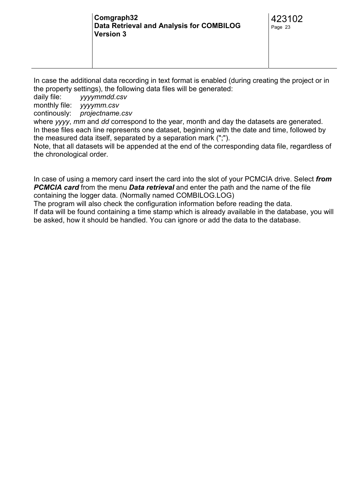In case the additional data recording in text format is enabled (during creating the project or in the property settings), the following data files will be generated:

daily file: *yyyymmdd.csv*

monthly file: *yyyymm.csv*

continously: *projectname.csv*

where *yyyy*, *mm* and *dd* correspond to the year, month and day the datasets are generated. In these files each line represents one dataset, beginning with the date and time, followed by the measured data itself, separated by a separation mark (";").

Note, that all datasets will be appended at the end of the corresponding data file, regardless of the chronological order.

In case of using a memory card insert the card into the slot of your PCMCIA drive. Select *from PCMCIA card* from the menu *Data retrieval* and enter the path and the name of the file containing the logger data. (Normally named COMBILOG.LOG)

The program will also check the configuration information before reading the data.

If data will be found containing a time stamp which is already available in the database, you will be asked, how it should be handled. You can ignore or add the data to the database.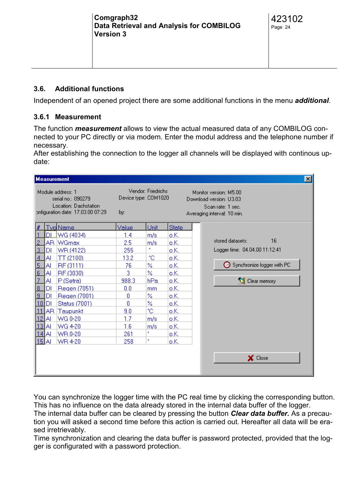#### <span id="page-23-0"></span>**3.6. Additional functions**

Independent of an opened project there are some additional functions in the menu *additional*.

#### **3.6.1 Measurement**

The function *measurement* allows to view the actual measured data of any COMBILOG connected to your PC directly or via modem. Enter the modul address and the telephone number if necessary.

After establishing the connection to the logger all channels will be displayed with continous update:

|                                                                                                       |       | <b>Measurement</b>                                |       |      |                                                                                                       |                                | $\vert x \vert$ |
|-------------------------------------------------------------------------------------------------------|-------|---------------------------------------------------|-------|------|-------------------------------------------------------------------------------------------------------|--------------------------------|-----------------|
| Module address: 1<br>serial no.: 090279<br>Location: Dachstation<br>onfiguration date: 17.03.00 07:29 |       | Vendor: Friedrichs<br>Device type: COM1020<br>by: |       |      | Monitor version: M5.00<br>Download version: U3.03<br>Scan rate: 1 sec.<br>Averaging interval: 10 min. |                                |                 |
| ⊯                                                                                                     |       | <u>Tvp Name</u>                                   | Value | Unit | <b>State</b>                                                                                          |                                |                 |
|                                                                                                       |       | <u>DI 1</u> WG (4034)                             | 1.4   | m/s  | o.K.                                                                                                  |                                |                 |
|                                                                                                       |       | AR WGmax                                          | 2.5   | m/s  | o.K.                                                                                                  | 16<br>stored datasets:         |                 |
| 3                                                                                                     | DI    | WR (4122)                                         | 255   | ٠    | o.K.                                                                                                  | Logger time: 04.04.00 11:12:41 |                 |
| $\overline{4}$                                                                                        | Al    | TT(2100)                                          | 13.2  | °C   | o.K.                                                                                                  |                                |                 |
| 5                                                                                                     | Al    | RF (3111)                                         | 76    | %    | o.K.                                                                                                  | Synchronize logger with PC     |                 |
| <u> 6</u>                                                                                             | Al    | RF (3030)                                         | 3     | %    | o.K.                                                                                                  |                                |                 |
| 7                                                                                                     | Al    | P(Setra)                                          | 988.3 | hPa  | o.K.                                                                                                  | <b>Rear memory</b>             |                 |
| 18                                                                                                    | DI    | Regen (7051)                                      | 0.0   | mm   | o.K.                                                                                                  |                                |                 |
| 19                                                                                                    | DI    | Regen (7001)                                      | 0     | %    | o.K.                                                                                                  |                                |                 |
| l10 l                                                                                                 | DI    | Status (7001)                                     | ۵     | %    | o.K.                                                                                                  |                                |                 |
|                                                                                                       |       | AR Taupunkt                                       | 9.0   | °C.  | o.K.                                                                                                  |                                |                 |
|                                                                                                       | ΙAΙ   | WG 0-20                                           | 1.7   | m/s  | o.K.                                                                                                  |                                |                 |
| 131                                                                                                   | ΙAΙ   | WG 4-20                                           | 1.6   | m/s  | o.K.                                                                                                  |                                |                 |
|                                                                                                       | 14 AI | WR 0-20                                           | 261   | ó.   | o.K.                                                                                                  |                                |                 |
|                                                                                                       | 15A   | WR 4-20                                           | 258   | ۰    | o.K.                                                                                                  |                                |                 |
|                                                                                                       |       |                                                   |       |      |                                                                                                       | X Close                        |                 |

You can synchronize the logger time with the PC real time by clicking the corresponding button. This has no influence on the data already stored in the internal data buffer of the logger. The internal data buffer can be cleared by pressing the button *Clear data buffer.* As a precaution you will asked a second time before this action is carried out. Hereafter all data will be erased irretrievably.

Time synchronization and clearing the data buffer is password protected, provided that the logger is configurated with a password protection.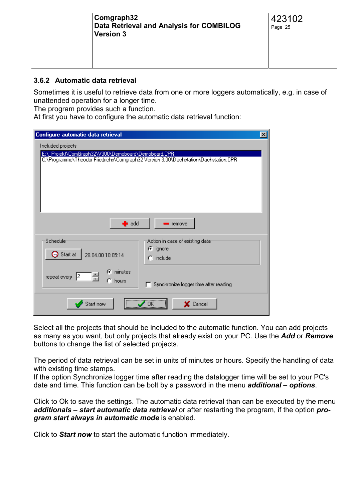<span id="page-24-0"></span>

| Comgraph32<br>Data Retrieval and Analysis for COMBILOG<br><b>Version 3</b> | 423102<br>Page 25 |
|----------------------------------------------------------------------------|-------------------|
|                                                                            |                   |

#### **3.6.2 Automatic data retrieval**

Sometimes it is useful to retrieve data from one or more loggers automatically, e.g. in case of unattended operation for a longer time.

The program provides such a function.

At first you have to configure the automatic data retrieval function:

| Configure automatic data retrieval                                                                                                         | $\vert x \vert$ |  |  |  |  |  |  |
|--------------------------------------------------------------------------------------------------------------------------------------------|-----------------|--|--|--|--|--|--|
| Included projects                                                                                                                          |                 |  |  |  |  |  |  |
| E:\_Projekt\ComGraph32\V300\Demoboard\Demoboard.CPR<br>C:\Programme\Theodor Friedrichs\Comgraph32 Version 3.00\Dachstation\Dachstation.CPR |                 |  |  |  |  |  |  |
| $\bullet$ add<br><b>Fremove</b>                                                                                                            |                 |  |  |  |  |  |  |
| <b>Schedule</b><br>Action in case of existing data <sup>.</sup>                                                                            |                 |  |  |  |  |  |  |
| $\sigma$ ignore<br>Start at<br>28.04.00 10:05:14                                                                                           |                 |  |  |  |  |  |  |
| $\bigcap$ include                                                                                                                          |                 |  |  |  |  |  |  |
| C minutes<br>repeat every $\vert 2 \vert$<br>hours<br>Synchronize logger time after reading                                                |                 |  |  |  |  |  |  |
| Start now<br>X Cancel<br>OΚ                                                                                                                |                 |  |  |  |  |  |  |

Select all the projects that should be included to the automatic function. You can add projects as many as you want, but only projects that already exist on your PC. Use the *Add* or *Remove* buttons to change the list of selected projects.

The period of data retrieval can be set in units of minutes or hours. Specify the handling of data with existing time stamps.

If the option Synchronize logger time after reading the datalogger time will be set to your PC's date and time. This function can be bolt by a password in the menu *additional – options*.

Click to Ok to save the settings. The automatic data retrieval than can be executed by the menu *additionals – start automatic data retrieval* or after restarting the program, if the option *program start always in automatic mode* is enabled.

Click to *Start now* to start the automatic function immediately.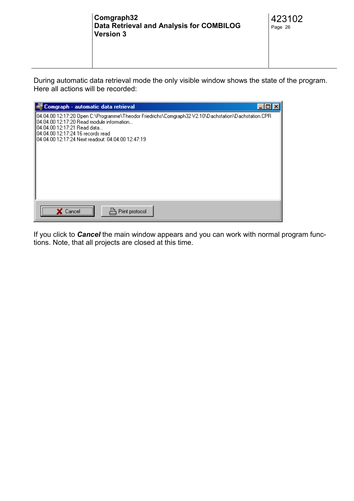During automatic data retrieval mode the only visible window shows the state of the program. Here all actions will be recorded:



If you click to *Cancel* the main window appears and you can work with normal program functions. Note, that all projects are closed at this time.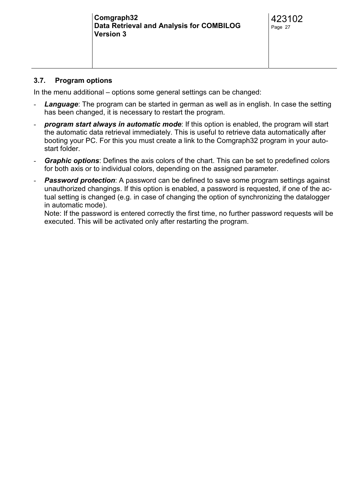#### <span id="page-26-0"></span>**3.7. Program options**

In the menu additional – options some general settings can be changed:

- *Language*: The program can be started in german as well as in english. In case the setting has been changed, it is necessary to restart the program.
- *program start always in automatic mode*: If this option is enabled, the program will start the automatic data retrieval immediately. This is useful to retrieve data automatically after booting your PC. For this you must create a link to the Comgraph32 program in your autostart folder.
- **Graphic options**: Defines the axis colors of the chart. This can be set to predefined colors for both axis or to individual colors, depending on the assigned parameter.
- **Password protection**: A password can be defined to save some program settings against unauthorized changings. If this option is enabled, a password is requested, if one of the actual setting is changed (e.g. in case of changing the option of synchronizing the datalogger in automatic mode).

Note: If the password is entered correctly the first time, no further password requests will be executed. This will be activated only after restarting the program.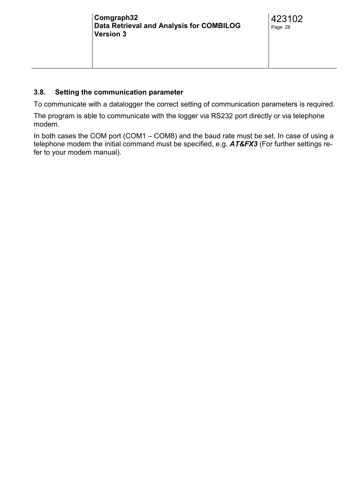#### <span id="page-27-0"></span>**3.8. Setting the communication parameter**

To communicate with a datalogger the correct setting of communication parameters is required.

The program is able to communicate with the logger via RS232 port directly or via telephone modem.

In both cases the COM port (COM1 – COM8) and the baud rate must be set. In case of using a telephone modem the initial command must be specified, e.g. *AT&FX3* (For further settings refer to your modem manual).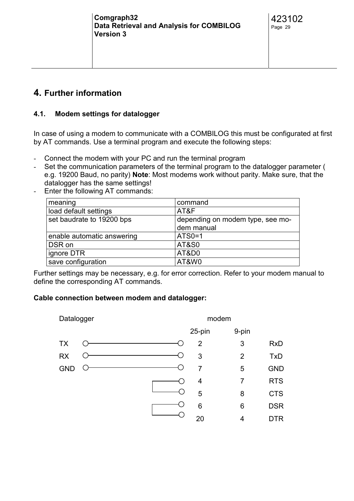#### <span id="page-28-0"></span>**4. Further information**

#### **4.1. Modem settings for datalogger**

In case of using a modem to communicate with a COMBILOG this must be configurated at first by AT commands. Use a terminal program and execute the following steps:

- Connect the modem with your PC and run the terminal program
- Set the communication parameters of the terminal program to the datalogger parameter ( e.g. 19200 Baud, no parity) **Note**: Most modems work without parity. Make sure, that the datalogger has the same settings!
- Enter the following AT commands:

| meaning                    | command                          |
|----------------------------|----------------------------------|
| load default settings      | AT&F                             |
| set baudrate to 19200 bps  | depending on modem type, see mo- |
|                            | dem manual                       |
| enable automatic answering | ATS0=1                           |
| DSR on                     | <b>AT&amp;S0</b>                 |
| ignore DTR                 | AT&D0                            |
| save configuration         | AT&W0                            |

Further settings may be necessary, e.g. for error correction. Refer to your modem manual to define the corresponding AT commands.

#### **Cable connection between modem and datalogger:**

| Datalogger |  |  |  |                | modem          |            |
|------------|--|--|--|----------------|----------------|------------|
|            |  |  |  | 25-pin         | 9-pin          |            |
| <b>TX</b>  |  |  |  | 2              | 3              | <b>RxD</b> |
| <b>RX</b>  |  |  |  | 3              | $\overline{2}$ | <b>TxD</b> |
| <b>GND</b> |  |  |  | $\overline{7}$ | 5              | <b>GND</b> |
|            |  |  |  | $\overline{4}$ | 7              | <b>RTS</b> |
|            |  |  |  | 5              | 8              | <b>CTS</b> |
|            |  |  |  | 6              | 6              | <b>DSR</b> |
|            |  |  |  | 20             | 4              | DTR        |